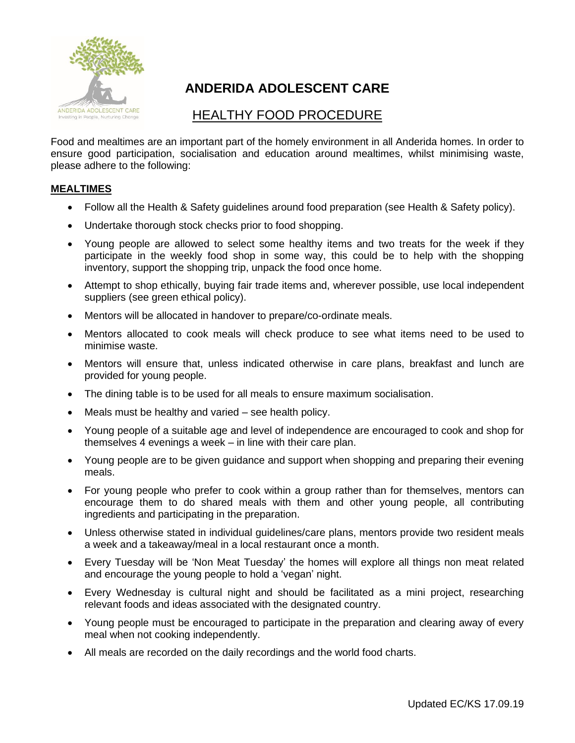

## **ANDERIDA ADOLESCENT CARE**

## HEALTHY FOOD PROCEDURE

Food and mealtimes are an important part of the homely environment in all Anderida homes. In order to ensure good participation, socialisation and education around mealtimes, whilst minimising waste, please adhere to the following:

## **MEALTIMES**

- Follow all the Health & Safety guidelines around food preparation (see Health & Safety policy).
- Undertake thorough stock checks prior to food shopping.
- Young people are allowed to select some healthy items and two treats for the week if they participate in the weekly food shop in some way, this could be to help with the shopping inventory, support the shopping trip, unpack the food once home.
- Attempt to shop ethically, buying fair trade items and, wherever possible, use local independent suppliers (see green ethical policy).
- Mentors will be allocated in handover to prepare/co-ordinate meals.
- Mentors allocated to cook meals will check produce to see what items need to be used to minimise waste.
- Mentors will ensure that, unless indicated otherwise in care plans, breakfast and lunch are provided for young people.
- The dining table is to be used for all meals to ensure maximum socialisation.
- Meals must be healthy and varied see health policy.
- Young people of a suitable age and level of independence are encouraged to cook and shop for themselves 4 evenings a week – in line with their care plan.
- Young people are to be given guidance and support when shopping and preparing their evening meals.
- For young people who prefer to cook within a group rather than for themselves, mentors can encourage them to do shared meals with them and other young people, all contributing ingredients and participating in the preparation.
- Unless otherwise stated in individual guidelines/care plans, mentors provide two resident meals a week and a takeaway/meal in a local restaurant once a month.
- Every Tuesday will be 'Non Meat Tuesday' the homes will explore all things non meat related and encourage the young people to hold a 'vegan' night.
- Every Wednesday is cultural night and should be facilitated as a mini project, researching relevant foods and ideas associated with the designated country.
- Young people must be encouraged to participate in the preparation and clearing away of every meal when not cooking independently.
- All meals are recorded on the daily recordings and the world food charts.